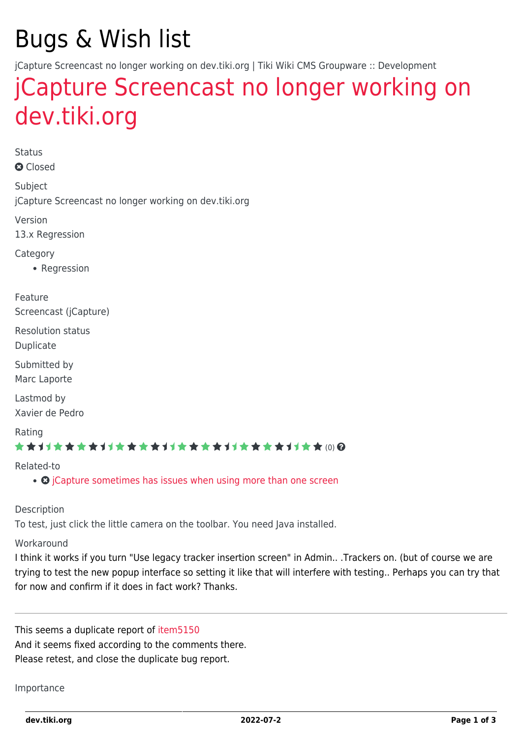# Bugs & Wish list

jCapture Screencast no longer working on dev.tiki.org | Tiki Wiki CMS Groupware :: Development

# [jCapture Screencast no longer working on](https://dev.tiki.org/item5292-jCapture-Screencast-no-longer-working-on-dev-tiki-org) [dev.tiki.org](https://dev.tiki.org/item5292-jCapture-Screencast-no-longer-working-on-dev-tiki-org)

Status **a** Closed

Subject jCapture Screencast no longer working on dev.tiki.org

Version 13.x Regression

Category

• Regression

Feature Screencast (jCapture)

Resolution status

Duplicate

Submitted by Marc Laporte

Lastmod by Xavier de Pedro

#### Rating

#### ★★11★★★★11★★★★11★★★★11★★★★11★★ @@

#### Related-to

• **O** [jCapture sometimes has issues when using more than one screen](https://dev.tiki.org/item5150-jCapture-sometimes-has-issues-when-using-more-than-one-screen)

#### Description

To test, just click the little camera on the toolbar. You need Java installed.

#### **Workaround**

I think it works if you turn "Use legacy tracker insertion screen" in Admin.. .Trackers on. (but of course we are trying to test the new popup interface so setting it like that will interfere with testing.. Perhaps you can try that for now and confirm if it does in fact work? Thanks.

This seems a duplicate report of [item5150](https://dev.tiki.org/item5150) And it seems fixed according to the comments there. Please retest, and close the duplicate bug report.

#### Importance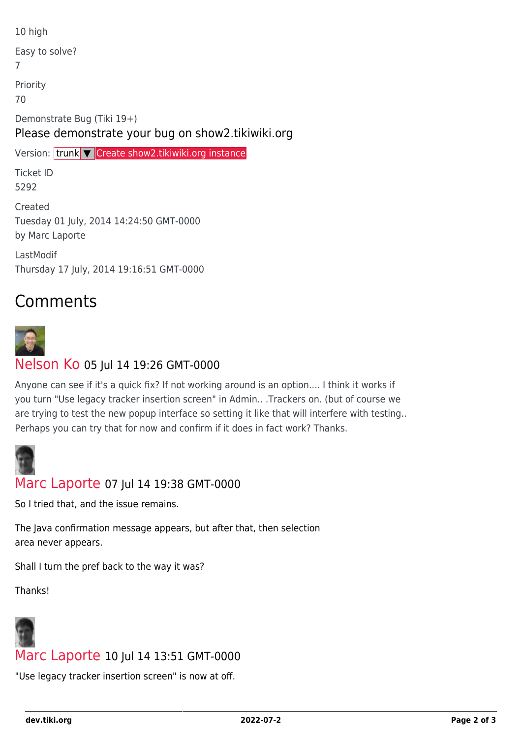10 high Easy to solve? 7 Priority 70 Demonstrate Bug (Tiki 19+) Please demonstrate your bug on show2.tikiwiki.org Version: trunk ▼ [Create show2.tikiwiki.org instance](#page--1-0) Ticket ID 5292 Created Tuesday 01 July, 2014 14:24:50 GMT-0000 by Marc Laporte LastModif

Thursday 17 July, 2014 19:16:51 GMT-0000

## Comments



## [Nelson Ko](https://dev.tiki.org/user9801) 05 Jul 14 19:26 GMT-0000

Anyone can see if it's a quick fix? If not working around is an option.... I think it works if you turn "Use legacy tracker insertion screen" in Admin.. .Trackers on. (but of course we are trying to test the new popup interface so setting it like that will interfere with testing.. Perhaps you can try that for now and confirm if it does in fact work? Thanks.



### [Marc Laporte](https://dev.tiki.org/user11197) 07 Jul 14 19:38 GMT-0000

So I tried that, and the issue remains.

The Java confirmation message appears, but after that, then selection area never appears.

Shall I turn the pref back to the way it was?

Thanks!



### [Marc Laporte](https://dev.tiki.org/user11197) 10 Jul 14 13:51 GMT-0000

"Use legacy tracker insertion screen" is now at off.